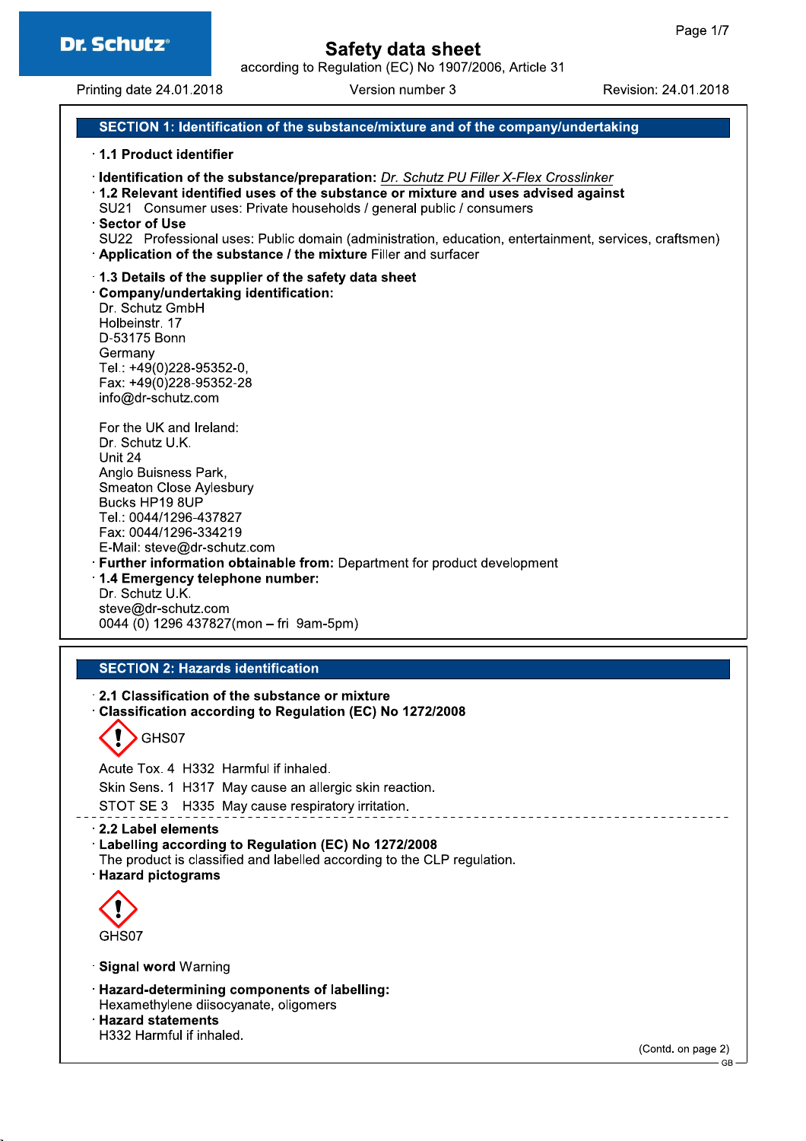according to Regulation (EC) No 1907/2006, Article 31

Printing date 24.01.2018

Version number 3

Revision: 24.01.2018

### SECTION 1: Identification of the substance/mixture and of the company/undertaking

#### 1.1 Product identifier

· Identification of the substance/preparation: Dr. Schutz PU Filler X-Flex Crosslinker

1.2 Relevant identified uses of the substance or mixture and uses advised against

- SU21 Consumer uses: Private households / general public / consumers
- **Sector of Use**
- SU22 Professional uses: Public domain (administration, education, entertainment, services, craftsmen) Application of the substance / the mixture Filler and surfacer

### 1.3 Details of the supplier of the safety data sheet

Company/undertaking identification: Dr. Schutz GmbH Holbeinstr. 17 D-53175 Bonn Germany Tel.: +49(0)228-95352-0, Fax: +49(0)228-95352-28 info@dr-schutz.com

For the UK and Ireland: Dr. Schutz U.K. Unit 24 Anglo Buisness Park. Smeaton Close Aylesbury Bucks HP19 8UP Tel.: 0044/1296-437827 Fax: 0044/1296-334219 E-Mail: steve@dr-schutz.com **Eurther information obtainable from:** Department for product development 1.4 Emergency telephone number: Dr. Schutz U.K. steve@dr-schutz.com

0044 (0) 1296 437827(mon - fri 9am-5pm)

### **SECTION 2: Hazards identification**

2.1 Classification of the substance or mixture Classification according to Regulation (EC) No 1272/2008

GHS07

Acute Tox, 4 H332 Harmful if inhaled. Skin Sens. 1 H317 May cause an allergic skin reaction. STOT SE 3 H335 May cause respiratory irritation.

2.2 Label elements

Labelling according to Regulation (EC) No 1272/2008

- The product is classified and labelled according to the CLP regulation.
- **Hazard pictograms**



· Signal word Warning

- · Hazard-determining components of labelling:
- Hexamethylene diisocvanate, oligomers
- **Hazard statements**

H332 Harmful if inhaled.

(Contd. on page 2)

<sup>-</sup> GB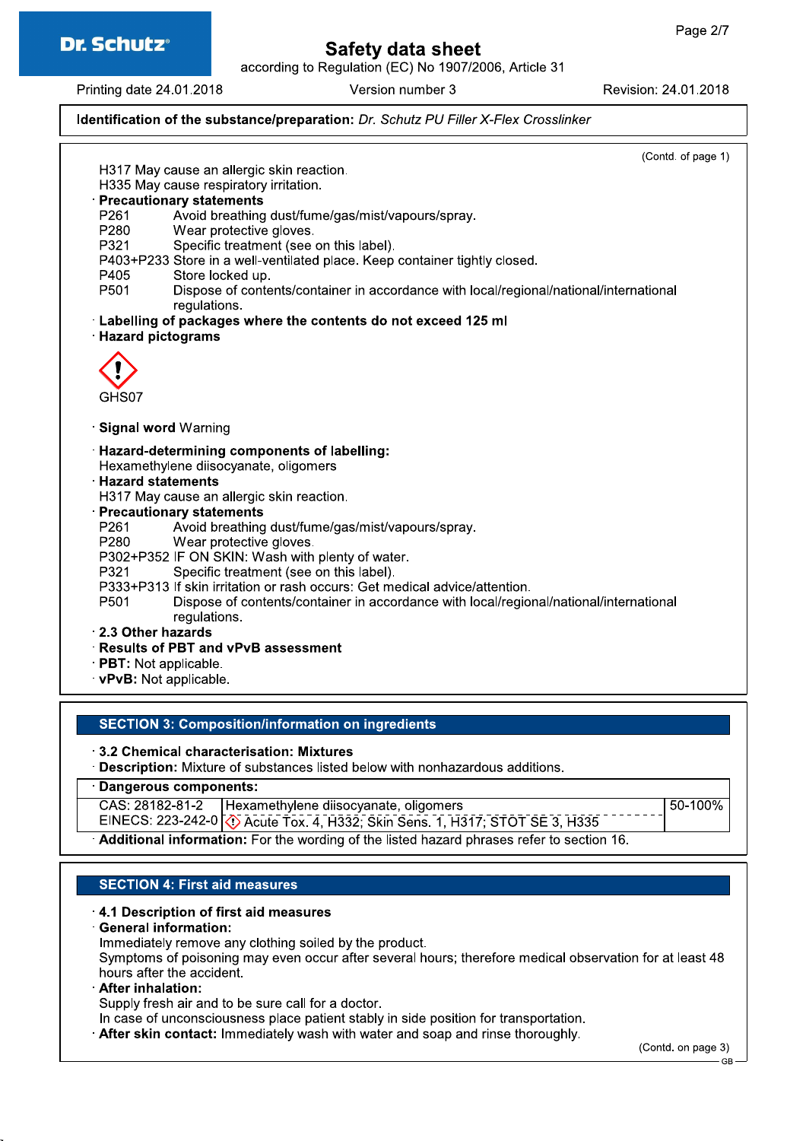

according to Regulation (EC) No 1907/2006, Article 31

Printing date 24.01.2018

Version number 3

Revision: 24.01.2018

### Identification of the substance/preparation: Dr. Schutz PU Filler X-Flex Crosslinker

(Contd. of page 1) H317 May cause an allergic skin reaction. H335 May cause respiratory irritation. · Precautionary statements Avoid breathing dust/fume/gas/mist/vapours/spray. P261 Wear protective gloves. P280 Specific treatment (see on this label). P321 P403+P233 Store in a well-ventilated place. Keep container tightly closed. P405 Store locked up. P501 Dispose of contents/container in accordance with local/regional/national/international regulations. Labelling of packages where the contents do not exceed 125 ml **Hazard pictograms** GHS07 · Signal word Warning · Hazard-determining components of labelling: Hexamethylene diisocyanate, oligomers **Hazard statements** H317 May cause an allergic skin reaction. · Precautionary statements Avoid breathing dust/fume/gas/mist/vapours/spray. P261 Wear protective gloves. P280 P302+P352 IF ON SKIN: Wash with plenty of water. Specific treatment (see on this label). P321 P333+P313 If skin irritation or rash occurs: Get medical advice/attention. P501 Dispose of contents/container in accordance with local/regional/national/international regulations. 2.3 Other hazards · Results of PBT and vPvB assessment · PBT: Not applicable. vPvB: Not applicable.

### **SECTION 3: Composition/information on ingredients**

3.2 Chemical characterisation: Mixtures

· Description: Mixture of substances listed below with nonhazardous additions.

#### · Dangerous components:

CAS: 28182-81-2 Hexamethylene diisocyanate, oligomers 50-100% EINECS: 223-242-0 (1) Acute Tox. 4, H332; Skin Sens. 1, H317; STOT SE 3, H335 Additional information: For the wording of the listed hazard phrases refer to section 16.

### **SECTION 4: First aid measures**

### 4.1 Description of first aid measures

**General information:** 

Immediately remove any clothing soiled by the product.

Symptoms of poisoning may even occur after several hours; therefore medical observation for at least 48 hours after the accident.

#### **After inhalation:**

Supply fresh air and to be sure call for a doctor.

In case of unconsciousness place patient stably in side position for transportation.

. After skin contact: Immediately wash with water and soap and rinse thoroughly.

(Contd. on page 3)

GB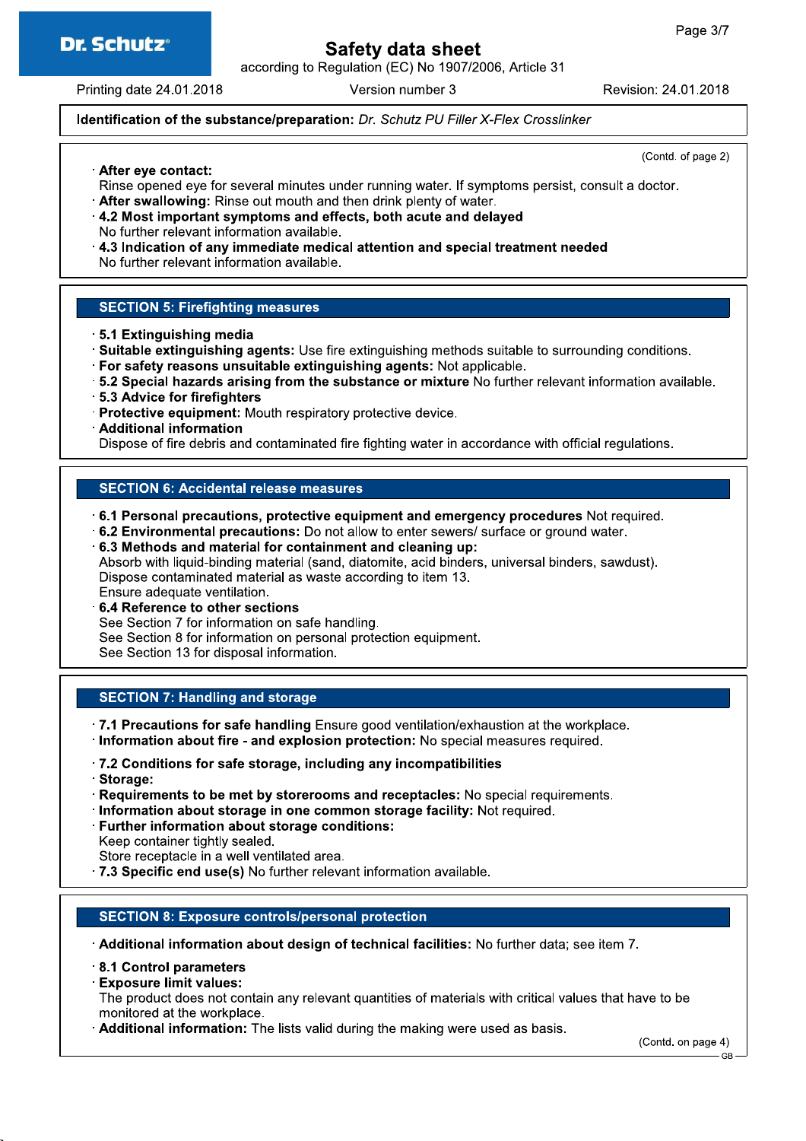

according to Regulation (EC) No 1907/2006, Article 31

Printing date 24.01.2018

Version number 3

Revision: 24.01.2018

(Contd. of page 2)

### Identification of the substance/preparation: Dr. Schutz PU Filler X-Flex Crosslinker

After eye contact:

- Rinse opened eye for several minutes under running water. If symptoms persist, consult a doctor.
- . After swallowing: Rinse out mouth and then drink plenty of water.
- 4.2 Most important symptoms and effects, both acute and delayed
- No further relevant information available.
- $\cdot$  4.3 Indication of any immediate medical attention and special treatment needed No further relevant information available.

### **SECTION 5: Firefighting measures**

- 5.1 Extinguishing media
- . Suitable extinguishing agents: Use fire extinguishing methods suitable to surrounding conditions.
- · For safety reasons unsuitable extinguishing agents: Not applicable.
- .5.2 Special hazards arising from the substance or mixture No further relevant information available.
- · 5.3 Advice for firefighters
- · Protective equipment: Mouth respiratory protective device.
- · Additional information

Dispose of fire debris and contaminated fire fighting water in accordance with official regulations.

### **SECTION 6: Accidental release measures**

6.1 Personal precautions, protective equipment and emergency procedures Not required.

- .6.2 Environmental precautions: Do not allow to enter sewers/ surface or ground water.
- 6.3 Methods and material for containment and cleaning up:

Absorb with liquid-binding material (sand, diatomite, acid binders, universal binders, sawdust). Dispose contaminated material as waste according to item 13. Ensure adequate ventilation.

6.4 Reference to other sections

See Section 7 for information on safe handling.

See Section 8 for information on personal protection equipment.

See Section 13 for disposal information.

### **SECTION 7: Handling and storage**

.7.1 Precautions for safe handling Ensure good ventilation/exhaustion at the workplace.

- · Information about fire and explosion protection: No special measures required.
- .7.2 Conditions for safe storage, including any incompatibilities
- · Storage:
- Requirements to be met by storerooms and receptacles: No special requirements.
- Information about storage in one common storage facility: Not required.
- · Further information about storage conditions:

Keep container tightly sealed.

Store receptacle in a well ventilated area.

.7.3 Specific end use(s) No further relevant information available.

### **SECTION 8: Exposure controls/personal protection**

Additional information about design of technical facilities: No further data: see item 7.

- 8.1 Control parameters
- **Exposure limit values:**

The product does not contain any relevant quantities of materials with critical values that have to be monitored at the workplace.

Additional information: The lists valid during the making were used as basis.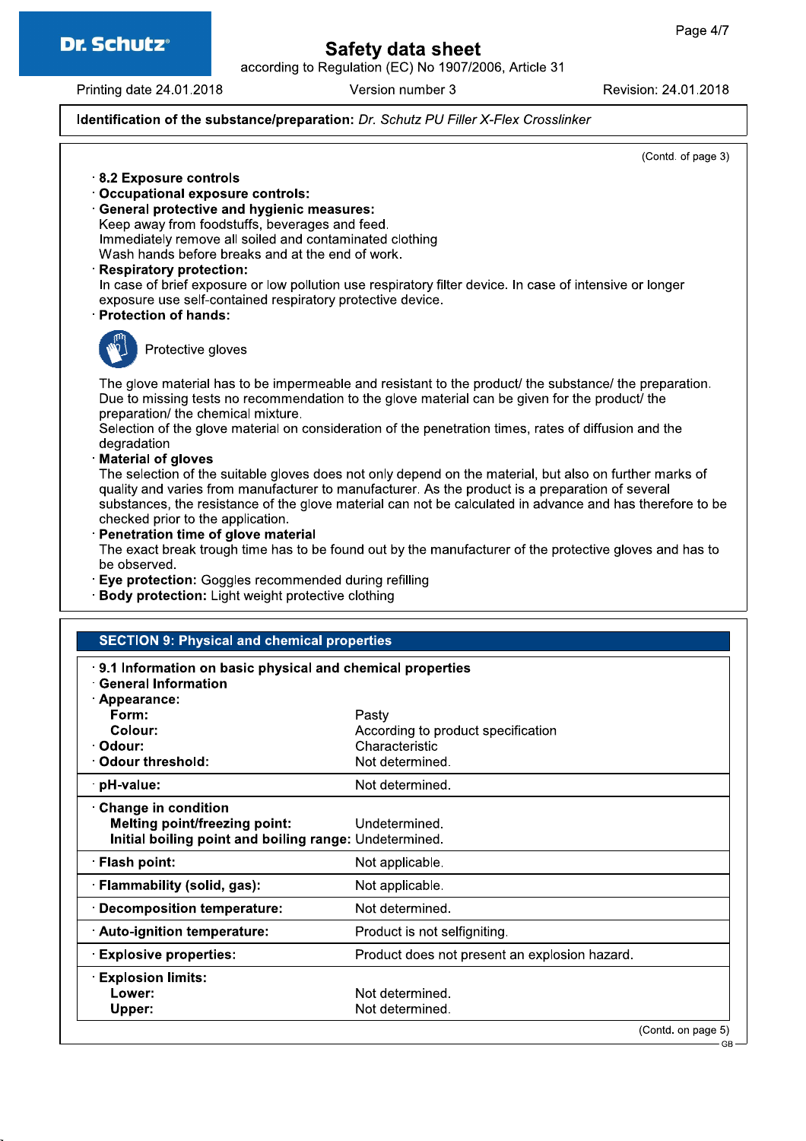

according to Regulation (EC) No 1907/2006, Article 31

Printing date 24.01.2018

Version number 3

Revision: 24.01.2018

### Identification of the substance/preparation: Dr. Schutz PU Filler X-Flex Crosslinker

(Contd. of page 3)

GR

- 8.2 Exposure controls
- · Occupational exposure controls:
- · General protective and hygienic measures: Keep away from foodstuffs, beverages and feed. Immediately remove all soiled and contaminated clothing Wash hands before breaks and at the end of work.
- **Respiratory protection:**

In case of brief exposure or low pollution use respiratory filter device. In case of intensive or longer exposure use self-contained respiratory protective device.

**Protection of hands:** 



Protective gloves

The glove material has to be impermeable and resistant to the product/ the substance/ the preparation. Due to missing tests no recommendation to the glove material can be given for the product/ the preparation/ the chemical mixture.

Selection of the glove material on consideration of the penetration times, rates of diffusion and the degradation

**Material of gloves** 

The selection of the suitable gloves does not only depend on the material, but also on further marks of quality and varies from manufacturer to manufacturer. As the product is a preparation of several substances, the resistance of the glove material can not be calculated in advance and has therefore to be checked prior to the application.

· Penetration time of glove material

The exact break trough time has to be found out by the manufacturer of the protective gloves and has to be observed.

· Eye protection: Goggles recommended during refilling

· Body protection: Light weight protective clothing

### **SECTION 9: Physical and chemical properties**

| 9.1 Information on basic physical and chemical properties |                                               |
|-----------------------------------------------------------|-----------------------------------------------|
| <b>General Information</b><br><b>Appearance:</b>          |                                               |
| Form:                                                     | Pasty                                         |
| Colour:                                                   | According to product specification            |
| · Odour:                                                  | Characteristic                                |
| Odour threshold:                                          | Not determined.                               |
| pH-value:                                                 | Not determined.                               |
| <b>Change in condition</b>                                |                                               |
| <b>Melting point/freezing point:</b>                      | Undetermined.                                 |
| Initial boiling point and boiling range: Undetermined.    |                                               |
| · Flash point:                                            | Not applicable.                               |
| · Flammability (solid, gas):                              | Not applicable.                               |
| · Decomposition temperature:                              | Not determined.                               |
| · Auto-ignition temperature:                              | Product is not selfigniting.                  |
| <b>Explosive properties:</b>                              | Product does not present an explosion hazard. |
| <b>Explosion limits:</b>                                  |                                               |
| Lower:                                                    | Not determined.                               |
| Upper:                                                    | Not determined.                               |
|                                                           | (Contd. on page 5)                            |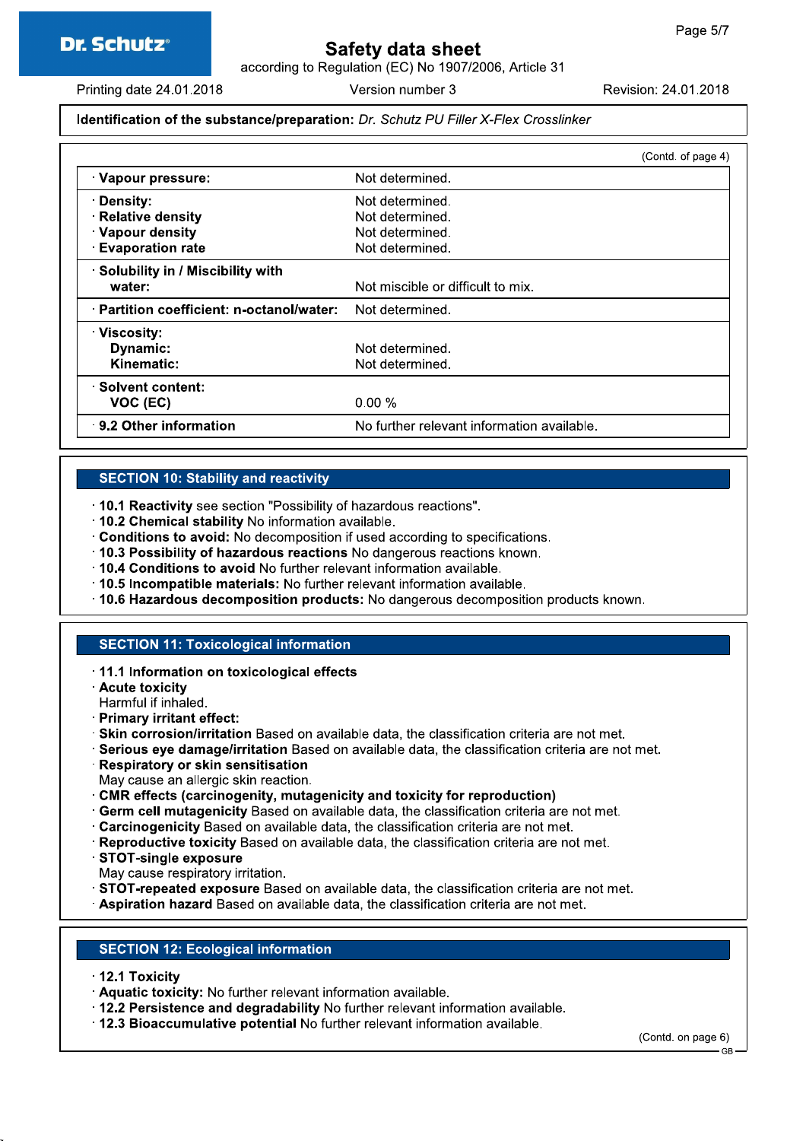according to Regulation (EC) No 1907/2006, Article 31

Printing date 24.01.2018

Version number 3

Revision: 24.01.2018

### Identification of the substance/preparation: Dr. Schutz PU Filler X-Flex Crosslinker

|                                           |                                            | (Contd. of page 4) |
|-------------------------------------------|--------------------------------------------|--------------------|
| Vapour pressure:                          | Not determined.                            |                    |
| · Density:                                | Not determined.                            |                    |
| <b>Relative density</b>                   | Not determined.                            |                    |
| · Vapour density                          | Not determined.                            |                    |
| <b>Evaporation rate</b>                   | Not determined.                            |                    |
| Solubility in / Miscibility with          |                                            |                    |
| water:                                    | Not miscible or difficult to mix.          |                    |
| · Partition coefficient: n-octanol/water: | Not determined.                            |                    |
| · Viscosity:                              |                                            |                    |
| <b>Dynamic:</b>                           | Not determined.                            |                    |
| Kinematic:                                | Not determined.                            |                    |
| Solvent content:                          |                                            |                    |
| VOC (EC)                                  | $0.00 \%$                                  |                    |
| 9.2 Other information                     | No further relevant information available. |                    |

### **SECTION 10: Stability and reactivity**

- . 10.1 Reactivity see section "Possibility of hazardous reactions".
- .10.2 Chemical stability No information available.
- Conditions to avoid: No decomposition if used according to specifications.
- 10.3 Possibility of hazardous reactions No dangerous reactions known.
- . 10.4 Conditions to avoid No further relevant information available.
- · 10.5 Incompatible materials: No further relevant information available.
- . 10.6 Hazardous decomposition products: No dangerous decomposition products known.

### **SECTION 11: Toxicological information**

- · 11.1 Information on toxicological effects
- **Acute toxicity**
- Harmful if inhaled.
- · Primary irritant effect:
- · Skin corrosion/irritation Based on available data, the classification criteria are not met.
- · Serious eye damage/irritation Based on available data, the classification criteria are not met.
- · Respiratory or skin sensitisation
- May cause an allergic skin reaction.
- CMR effects (carcinogenity, mutagenicity and toxicity for reproduction)
- **Germ cell mutagenicity** Based on available data, the classification criteria are not met.
- . Carcinogenicity Based on available data, the classification criteria are not met.
- · Reproductive toxicity Based on available data, the classification criteria are not met.
- STOT-single exposure
- May cause respiratory irritation.
- STOT-repeated exposure Based on available data, the classification criteria are not met.
- Aspiration hazard Based on available data, the classification criteria are not met.

### **SECTION 12: Ecological information**

- 12.1 Toxicity
- Aquatic toxicity: No further relevant information available.
- . 12.2 Persistence and degradability No further relevant information available.
- . 12.3 Bioaccumulative potential No further relevant information available.

(Contd. on page 6)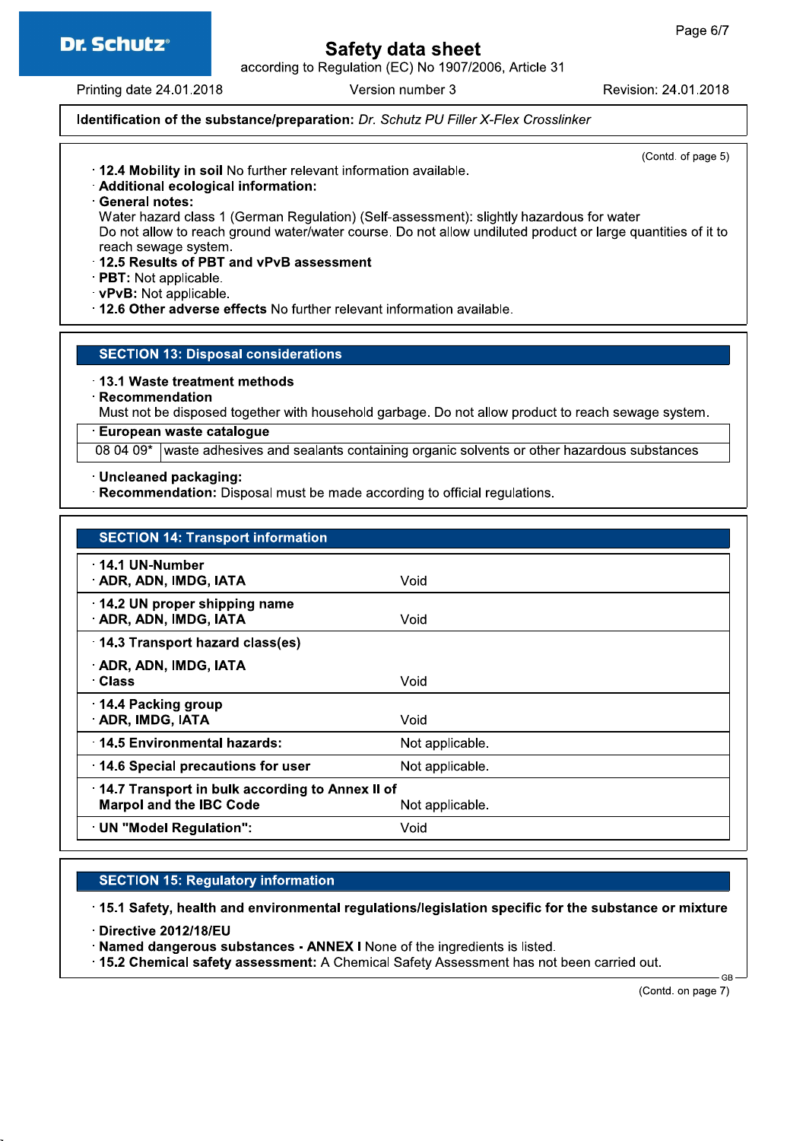

according to Regulation (EC) No 1907/2006, Article 31

Printing date 24.01.2018

Version number 3

Revision: 24.01.2018

### Identification of the substance/preparation: Dr. Schutz PU Filler X-Flex Crosslinker

(Contd. of page 5)

- . 12.4 Mobility in soil No further relevant information available.
- · Additional ecological information:
- General notes:

Water hazard class 1 (German Regulation) (Self-assessment): slightly hazardous for water Do not allow to reach ground water/water course. Do not allow undiluted product or large quantities of it to reach sewage system.

- 12.5 Results of PBT and vPvB assessment
- **PBT:** Not applicable.
- vPvB: Not applicable.
- .12.6 Other adverse effects No further relevant information available.

### **SECTION 13: Disposal considerations**

13.1 Waste treatment methods

· Recommendation

Must not be disposed together with household garbage. Do not allow product to reach sewage system.

### **European waste cataloque**

08 04 09\* waste adhesives and sealants containing organic solvents or other hazardous substances

· Uncleaned packaging:

Recommendation: Disposal must be made according to official regulations.

| <b>SECTION 14: Transport information</b>                                                             |                 |
|------------------------------------------------------------------------------------------------------|-----------------|
| · 14.1 UN-Number<br>ADR, ADN, IMDG, IATA                                                             | Void            |
| 14.2 UN proper shipping name<br>· ADR, ADN, IMDG, IATA                                               | Void            |
| 14.3 Transport hazard class(es)                                                                      |                 |
| · ADR, ADN, IMDG, IATA<br>∴Class                                                                     | Void            |
| 14.4 Packing group<br><b>ADR, IMDG, IATA</b>                                                         | Void            |
| 14.5 Environmental hazards:                                                                          | Not applicable. |
| 14.6 Special precautions for user                                                                    | Not applicable. |
| 14.7 Transport in bulk according to Annex II of<br><b>Marpol and the IBC Code</b><br>Not applicable. |                 |
| · UN "Model Regulation":                                                                             | Void            |

### **SECTION 15: Regulatory information**

15.1 Safety, health and environmental regulations/legislation specific for the substance or mixture

Directive 2012/18/EU

- · Named dangerous substances ANNEX I None of the ingredients is listed.
- . 15.2 Chemical safety assessment: A Chemical Safety Assessment has not been carried out.

(Contd. on page 7)

**GR**